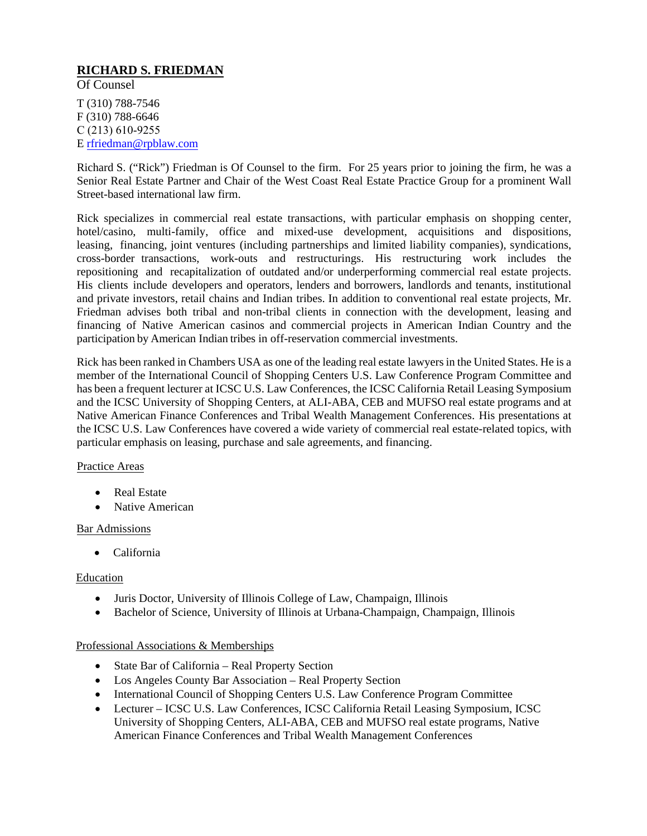# **RICHARD S. FRIEDMAN**

Of Counsel

T (310) 788-7546 F (310) 788-6646 C (213) 610-9255 E rfriedman@rpblaw.com

Richard S. ("Rick") Friedman is Of Counsel to the firm. For 25 years prior to joining the firm, he was a Senior Real Estate Partner and Chair of the West Coast Real Estate Practice Group for a prominent Wall Street-based international law firm.

Rick specializes in commercial real estate transactions, with particular emphasis on shopping center, hotel/casino, multi-family, office and mixed-use development, acquisitions and dispositions, leasing, financing, joint ventures (including partnerships and limited liability companies), syndications, cross-border transactions, work-outs and restructurings. His restructuring work includes the repositioning and recapitalization of outdated and/or underperforming commercial real estate projects. His clients include developers and operators, lenders and borrowers, landlords and tenants, institutional and private investors, retail chains and Indian tribes. In addition to conventional real estate projects, Mr. Friedman advises both tribal and non-tribal clients in connection with the development, leasing and financing of Native American casinos and commercial projects in American Indian Country and the participation by American Indian tribes in off-reservation commercial investments.

Rick has been ranked in Chambers USA as one of the leading real estate lawyers in the United States. He is a member of the International Council of Shopping Centers U.S. Law Conference Program Committee and has been a frequent lecturer at ICSC U.S. Law Conferences, the ICSC California Retail Leasing Symposium and the ICSC University of Shopping Centers, at ALI-ABA, CEB and MUFSO real estate programs and at Native American Finance Conferences and Tribal Wealth Management Conferences. His presentations at the ICSC U.S. Law Conferences have covered a wide variety of commercial real estate-related topics, with particular emphasis on leasing, purchase and sale agreements, and financing.

## Practice Areas

- Real Estate
- Native American

#### Bar Admissions

• California

#### Education

- Juris Doctor, University of Illinois College of Law, Champaign, Illinois
- Bachelor of Science, University of Illinois at Urbana-Champaign, Champaign, Illinois

## Professional Associations & Memberships

- State Bar of California Real Property Section
- Los Angeles County Bar Association Real Property Section
- International Council of Shopping Centers U.S. Law Conference Program Committee
- Lecturer ICSC U.S. Law Conferences, ICSC California Retail Leasing Symposium, ICSC University of Shopping Centers, ALI-ABA, CEB and MUFSO real estate programs, Native American Finance Conferences and Tribal Wealth Management Conferences